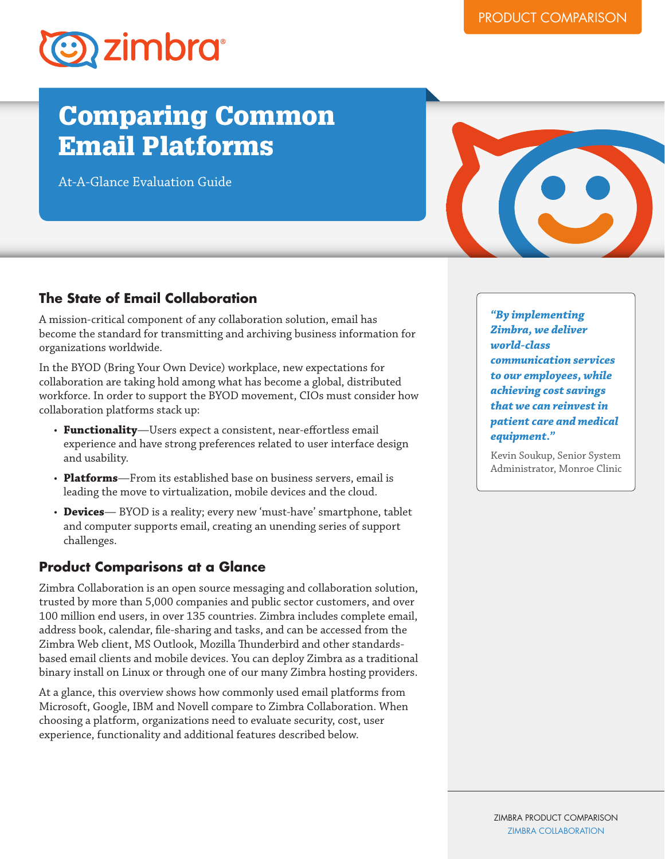

# Comparing Common Email Platforms

At-A-Glance Evaluation Guide



### **The State of Email Collaboration**

A mission-critical component of any collaboration solution, email has become the standard for transmitting and archiving business information for organizations worldwide.

In the BYOD (Bring Your Own Device) workplace, new expectations for collaboration are taking hold among what has become a global, distributed workforce. In order to support the BYOD movement, CIOs must consider how collaboration platforms stack up:

- Functionality-Users expect a consistent, near-effortless email experience and have strong preferences related to user interface design and usability.
- • **Platforms**—From its established base on business servers, email is leading the move to virtualization, mobile devices and the cloud.
- **Devices** BYOD is a reality; every new 'must-have' smartphone, tablet and computer supports email, creating an unending series of support challenges.

#### **Product Comparisons at a Glance**

Zimbra Collaboration is an open source messaging and collaboration solution, trusted by more than 5,000 companies and public sector customers, and over 100 million end users, in over 135 countries. Zimbra includes complete email, address book, calendar, file-sharing and tasks, and can be accessed from the Zimbra Web client, MS Outlook, Mozilla Thunderbird and other standardsbased email clients and mobile devices. You can deploy Zimbra as a traditional binary install on Linux or through one of our many Zimbra hosting providers.

At a glance, this overview shows how commonly used email platforms from Microsoft, Google, IBM and Novell compare to Zimbra Collaboration. When choosing a platform, organizations need to evaluate security, cost, user experience, functionality and additional features described below.

*"By implementing Zimbra, we deliver world-class communication services to our employees, while achieving cost savings that we can reinvest in patient care and medical equipment."*

Kevin Soukup, Senior System Administrator, Monroe Clinic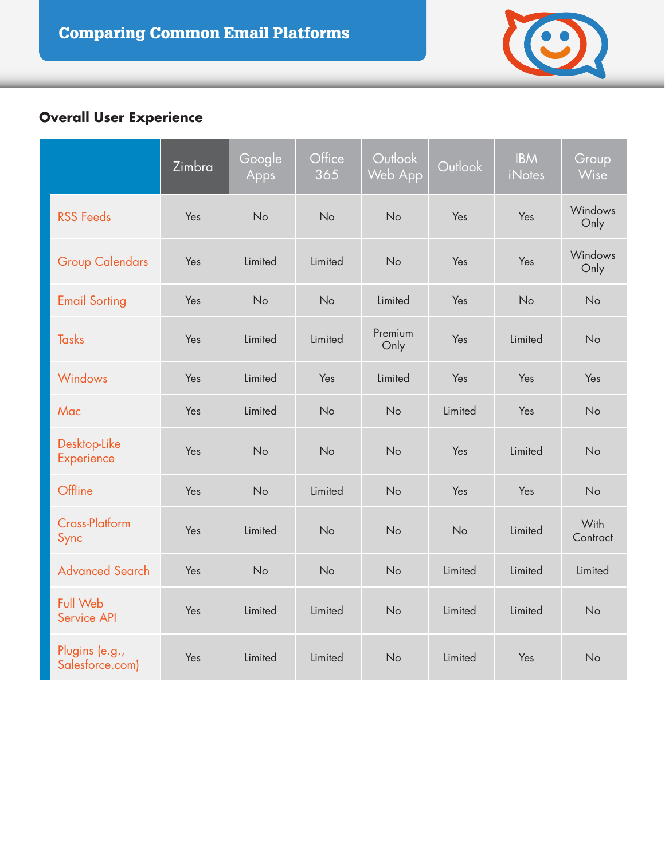

# **Overall User Experience**

|                                   | Zimbra | Google<br>Apps | Office<br>365 | Outlook<br>Web App | Outlook | <b>IBM</b><br><b>iNotes</b> | Group<br>Wise    |
|-----------------------------------|--------|----------------|---------------|--------------------|---------|-----------------------------|------------------|
| <b>RSS Feeds</b>                  | Yes    | No             | No            | No                 | Yes     | Yes                         | Windows<br>Only  |
| <b>Group Calendars</b>            | Yes    | Limited        | Limited       | No                 | Yes     | Yes                         | Windows<br>Only  |
| <b>Email Sorting</b>              | Yes    | No             | No            | Limited            | Yes     | No                          | No               |
| <b>Tasks</b>                      | Yes    | Limited        | Limited       | Premium<br>Only    | Yes     | Limited                     | No               |
| Windows                           | Yes    | Limited        | Yes           | Limited            | Yes     | Yes                         | Yes              |
| Mac                               | Yes    | Limited        | No            | No                 | Limited | Yes                         | No               |
| Desktop-Like<br>Experience        | Yes    | No             | No            | No                 | Yes     | Limited                     | No               |
| Offline                           | Yes    | No             | Limited       | No                 | Yes     | Yes                         | No               |
| <b>Cross-Platform</b><br>Sync     | Yes    | Limited        | No            | No                 | No      | Limited                     | With<br>Contract |
| <b>Advanced Search</b>            | Yes    | No             | No            | No                 | Limited | Limited                     | Limited          |
| <b>Full Web</b><br>Service API    | Yes    | Limited        | Limited       | No                 | Limited | Limited                     | No               |
| Plugins (e.g.,<br>Salesforce.com) | Yes    | Limited        | Limited       | No                 | Limited | Yes                         | No               |